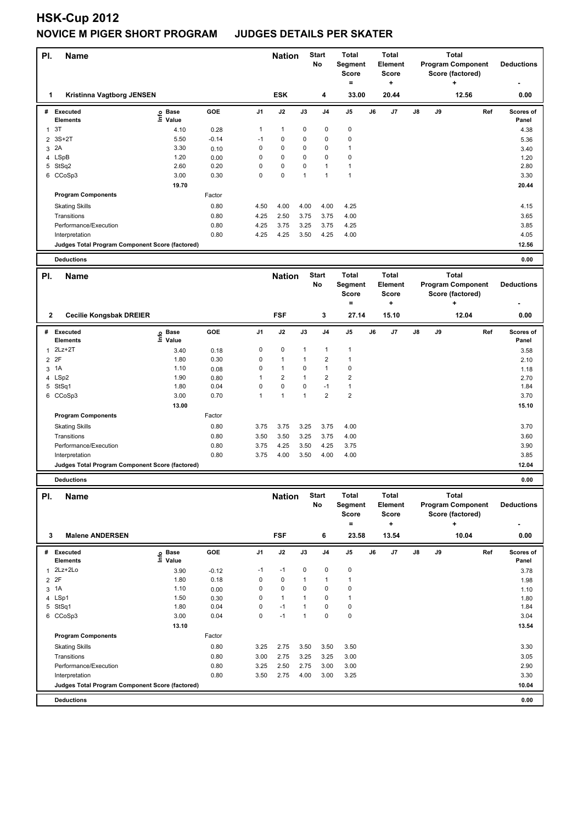# **HSK-Cup 2012 NOVICE M PIGER SHORT PROGRAM JUDGES DETAILS PER SKATER**

| PI.            | <b>Name</b>                                     |                            |              |              | <b>Nation</b>  |              | <b>Start</b><br>No      | Total<br>Segment<br><b>Score</b>                      |    | Total<br><b>Element</b><br><b>Score</b>       |                                                                   | <b>Total</b><br><b>Program Component</b><br>Score (factored) |                                                              |     | <b>Deductions</b>  |
|----------------|-------------------------------------------------|----------------------------|--------------|--------------|----------------|--------------|-------------------------|-------------------------------------------------------|----|-----------------------------------------------|-------------------------------------------------------------------|--------------------------------------------------------------|--------------------------------------------------------------|-----|--------------------|
| 1              | Kristinna Vagtborg JENSEN                       |                            |              |              | <b>ESK</b>     |              | 4                       | $\equiv$<br>33.00                                     |    | ÷<br>20.44                                    |                                                                   |                                                              | 12.56                                                        |     | 0.00               |
| #              | <b>Executed</b><br><b>Elements</b>              | e Base<br>⊆ Value          | GOE          | J1           | J2             | J3           | J4                      | J5                                                    | J6 | J7                                            | J8                                                                | J9                                                           |                                                              | Ref | Scores of<br>Panel |
| 1              | 3T                                              | 4.10                       | 0.28         | 1            | $\mathbf{1}$   | 0            | 0                       | 0                                                     |    |                                               |                                                                   |                                                              |                                                              |     | 4.38               |
| 2              | $3S+2T$                                         | 5.50                       | $-0.14$      | $-1$         | 0              | 0            | 0                       | 0                                                     |    |                                               |                                                                   |                                                              |                                                              |     | 5.36               |
|                | 3 2A                                            | 3.30                       | 0.10         | 0            | 0              | 0            | 0                       | $\mathbf{1}$                                          |    |                                               |                                                                   |                                                              |                                                              |     | 3.40               |
| 4              | LSpB                                            | 1.20                       | 0.00         | 0            | 0              | 0            | 0                       | 0                                                     |    |                                               |                                                                   |                                                              |                                                              |     | 1.20               |
|                | 5 StSq2                                         | 2.60                       | 0.20         | 0            | 0              | 0            | 1                       | 1                                                     |    |                                               |                                                                   |                                                              |                                                              |     | 2.80               |
|                | 6 CCoSp3                                        | 3.00                       | 0.30         | 0            | 0              | $\mathbf{1}$ | 1                       | 1                                                     |    |                                               |                                                                   |                                                              |                                                              |     | 3.30               |
|                |                                                 | 19.70                      |              |              |                |              |                         |                                                       |    |                                               |                                                                   |                                                              |                                                              |     | 20.44              |
|                | <b>Program Components</b>                       |                            | Factor       |              |                |              |                         |                                                       |    |                                               |                                                                   |                                                              |                                                              |     |                    |
|                | <b>Skating Skills</b>                           |                            | 0.80         | 4.50         | 4.00           | 4.00         | 4.00                    | 4.25                                                  |    |                                               |                                                                   |                                                              |                                                              |     | 4.15               |
|                | Transitions                                     |                            | 0.80         | 4.25         | 2.50           | 3.75         | 3.75                    | 4.00                                                  |    |                                               |                                                                   |                                                              |                                                              |     | 3.65               |
|                | Performance/Execution<br>Interpretation         |                            | 0.80<br>0.80 | 4.25<br>4.25 | 3.75<br>4.25   | 3.25<br>3.50 | 3.75<br>4.25            | 4.25<br>4.00                                          |    |                                               |                                                                   |                                                              |                                                              |     | 3.85<br>4.05       |
|                | Judges Total Program Component Score (factored) |                            |              |              |                |              |                         |                                                       |    |                                               |                                                                   |                                                              |                                                              |     | 12.56              |
|                |                                                 |                            |              |              |                |              |                         |                                                       |    |                                               |                                                                   |                                                              |                                                              |     |                    |
|                | <b>Deductions</b>                               |                            |              |              |                |              |                         |                                                       |    |                                               |                                                                   |                                                              |                                                              |     | 0.00               |
| PI.            | <b>Name</b>                                     |                            |              |              | <b>Nation</b>  |              | <b>Start</b><br>No      | Total<br>Segment<br><b>Score</b><br>$\qquad \qquad =$ |    | <b>Total</b><br>Element<br><b>Score</b><br>÷  | <b>Total</b><br><b>Program Component</b><br>Score (factored)<br>÷ |                                                              |                                                              |     | <b>Deductions</b>  |
| 2              | <b>Cecilie Kongsbak DREIER</b>                  |                            |              |              | <b>FSF</b>     |              | 3                       | 27.14                                                 |    | 15.10                                         |                                                                   |                                                              | 12.04                                                        |     | 0.00               |
| #              | <b>Executed</b>                                 |                            | GOE          | J1           | J2             | J3           | J4                      | J5                                                    | J6 | J7                                            | J8                                                                | J9                                                           |                                                              | Ref | Scores of          |
|                | <b>Elements</b>                                 | e Base<br>E Value<br>Value |              |              |                |              |                         |                                                       |    |                                               |                                                                   |                                                              |                                                              |     | Panel              |
|                | 1 2Lz+2T                                        | 3.40                       | 0.18         | 0            | 0              | 1            | 1                       | $\mathbf{1}$                                          |    |                                               |                                                                   |                                                              |                                                              |     | 3.58               |
| $\overline{2}$ | 2F                                              | 1.80                       | 0.30         | 0            | $\mathbf{1}$   | $\mathbf{1}$ | $\overline{2}$          | $\mathbf{1}$                                          |    |                                               |                                                                   |                                                              |                                                              |     | 2.10               |
| 3              | 1A                                              | 1.10                       | 0.08         | 0            | $\mathbf{1}$   | 0            | $\mathbf{1}$            | 0                                                     |    |                                               |                                                                   |                                                              |                                                              |     | 1.18               |
|                | 4 LSp2                                          | 1.90                       | 0.80         | 1            | $\overline{2}$ | 1            | $\overline{2}$          | 2                                                     |    |                                               |                                                                   |                                                              |                                                              |     | 2.70               |
|                | 5 StSq1                                         | 1.80                       | 0.04         | 0            | 0              | 0            | $-1$                    | $\mathbf{1}$                                          |    |                                               |                                                                   |                                                              |                                                              |     | 1.84               |
|                | 6 CCoSp3                                        | 3.00                       | 0.70         | 1            | $\mathbf{1}$   | $\mathbf{1}$ | $\overline{\mathbf{c}}$ | 2                                                     |    |                                               |                                                                   |                                                              |                                                              |     | 3.70               |
|                | <b>Program Components</b>                       | 13.00                      | Factor       |              |                |              |                         |                                                       |    |                                               |                                                                   |                                                              |                                                              |     | 15.10              |
|                |                                                 |                            |              | 3.75         |                |              |                         |                                                       |    |                                               |                                                                   |                                                              |                                                              |     |                    |
|                | <b>Skating Skills</b><br>Transitions            |                            | 0.80         |              | 3.75           | 3.25         | 3.75                    | 4.00                                                  |    |                                               |                                                                   |                                                              |                                                              |     | 3.70               |
|                | Performance/Execution                           |                            | 0.80<br>0.80 | 3.50<br>3.75 | 3.50<br>4.25   | 3.25<br>3.50 | 3.75<br>4.25            | 4.00<br>3.75                                          |    |                                               |                                                                   |                                                              |                                                              |     | 3.60<br>3.90       |
|                | Interpretation                                  |                            | 0.80         | 3.75         | 4.00           | 3.50         | 4.00                    | 4.00                                                  |    |                                               |                                                                   |                                                              |                                                              |     | 3.85               |
|                | Judges Total Program Component Score (factored) |                            |              |              |                |              |                         |                                                       |    |                                               |                                                                   |                                                              |                                                              |     | 12.04              |
|                |                                                 |                            |              |              |                |              |                         |                                                       |    |                                               |                                                                   |                                                              |                                                              |     |                    |
|                | <b>Deductions</b>                               |                            |              |              |                |              |                         |                                                       |    |                                               |                                                                   |                                                              |                                                              |     | 0.00               |
| PI.            | <b>Name</b>                                     |                            |              |              | <b>Nation</b>  |              | <b>Start</b><br>No      | Total<br>Segment<br><b>Score</b><br>$=$               |    | Total<br>Element<br><b>Score</b><br>$\ddot{}$ |                                                                   |                                                              | <b>Total</b><br><b>Program Component</b><br>Score (factored) |     | <b>Deductions</b>  |
| 3              | <b>Malene ANDERSEN</b>                          |                            |              |              | <b>FSF</b>     |              | 6                       | 23.58                                                 |    | 13.54                                         |                                                                   |                                                              | 10.04                                                        |     | 0.00               |
|                | # Executed<br><b>Elements</b>                   | Base<br>e Base<br>⊑ Value  | GOE          | J1           | J2             | J3           | J4                      | J5                                                    | J6 | J7                                            | J8                                                                | J9                                                           |                                                              | Ref | Scores of<br>Panel |
|                | 1 2Lz+2Lo                                       | 3.90                       | $-0.12$      | $-1$         | $-1$           | 0            | 0                       | 0                                                     |    |                                               |                                                                   |                                                              |                                                              |     | 3.78               |
|                | 2 2F                                            | 1.80                       | 0.18         | 0            | $\pmb{0}$      | 1            | 1                       | $\mathbf{1}$                                          |    |                                               |                                                                   |                                                              |                                                              |     | 1.98               |
|                | 3 1A                                            | 1.10                       | 0.00         | 0            | 0              | 0            | 0                       | 0                                                     |    |                                               |                                                                   |                                                              |                                                              |     | 1.10               |
|                | 4 LSp1                                          | 1.50                       | 0.30         | $\mathsf 0$  | $\mathbf{1}$   | 1            | 0                       | $\mathbf{1}$                                          |    |                                               |                                                                   |                                                              |                                                              |     | 1.80               |
|                | 5 StSq1                                         | 1.80                       | 0.04         | $\mathsf 0$  | $-1$           | 1            | 0                       | 0                                                     |    |                                               |                                                                   |                                                              |                                                              |     | 1.84               |
|                | 6 CCoSp3                                        | 3.00                       | 0.04         | $\mathbf 0$  | $-1$           | $\mathbf{1}$ | 0                       | 0                                                     |    |                                               |                                                                   |                                                              |                                                              |     | 3.04               |
|                |                                                 | 13.10                      |              |              |                |              |                         |                                                       |    |                                               |                                                                   |                                                              |                                                              |     | 13.54              |
|                | <b>Program Components</b>                       |                            | Factor       |              |                |              |                         |                                                       |    |                                               |                                                                   |                                                              |                                                              |     |                    |
|                | <b>Skating Skills</b>                           |                            | 0.80         | 3.25         | 2.75           | 3.50         | 3.50                    | 3.50                                                  |    |                                               |                                                                   |                                                              |                                                              |     | 3.30               |
|                | Transitions                                     |                            | 0.80         | 3.00         | 2.75           | 3.25         | 3.25                    | 3.00                                                  |    |                                               |                                                                   |                                                              |                                                              |     | 3.05               |
|                | Performance/Execution<br>Interpretation         |                            | 0.80<br>0.80 | 3.25<br>3.50 | 2.50<br>2.75   | 2.75<br>4.00 | 3.00<br>3.00            | 3.00<br>3.25                                          |    |                                               |                                                                   |                                                              |                                                              |     | 2.90<br>3.30       |
|                | Judges Total Program Component Score (factored) |                            |              |              |                |              |                         |                                                       |    |                                               |                                                                   |                                                              |                                                              |     | 10.04              |
|                |                                                 |                            |              |              |                |              |                         |                                                       |    |                                               |                                                                   |                                                              |                                                              |     |                    |
|                | <b>Deductions</b>                               |                            |              |              |                |              |                         |                                                       |    |                                               |                                                                   |                                                              |                                                              |     | 0.00               |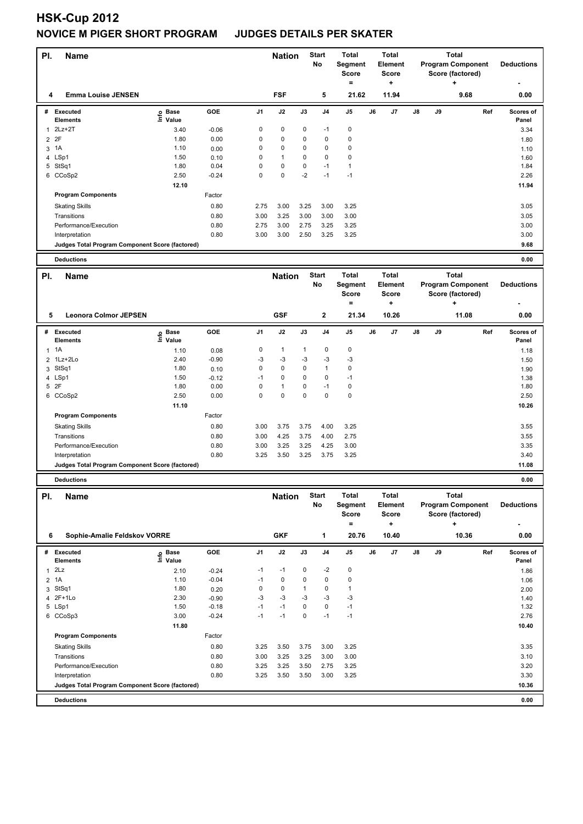# **HSK-Cup 2012 NOVICE M PIGER SHORT PROGRAM JUDGES DETAILS PER SKATER**

| PI.            | <b>Name</b>                                     |                   |         |             | <b>Nation</b> |              | <b>Start</b><br>No | <b>Total</b><br>Segment<br><b>Score</b><br>$\equiv$ |    | <b>Total</b><br><b>Element</b><br><b>Score</b><br>÷ | <b>Total</b><br><b>Program Component</b><br>Score (factored)<br>÷ |    |                                                                   | <b>Deductions</b> |                    |
|----------------|-------------------------------------------------|-------------------|---------|-------------|---------------|--------------|--------------------|-----------------------------------------------------|----|-----------------------------------------------------|-------------------------------------------------------------------|----|-------------------------------------------------------------------|-------------------|--------------------|
| 4              | <b>Emma Louise JENSEN</b>                       |                   |         |             | <b>FSF</b>    |              | 5                  | 21.62                                               |    | 11.94                                               |                                                                   |    | 9.68                                                              |                   | 0.00               |
| #              | <b>Executed</b><br><b>Elements</b>              | e Base<br>⊑ Value | GOE     | J1          | J2            | J3           | J <sub>4</sub>     | J5                                                  | J6 | J7                                                  | $\mathsf{J}8$                                                     | J9 |                                                                   | Ref               | Scores of<br>Panel |
| $\mathbf{1}$   | $2Lz+2T$                                        | 3.40              | $-0.06$ | $\mathbf 0$ | $\pmb{0}$     | 0            | $-1$               | 0                                                   |    |                                                     |                                                                   |    |                                                                   |                   | 3.34               |
| $\overline{2}$ | 2F                                              | 1.80              | 0.00    | 0           | 0             | 0            | 0                  | 0                                                   |    |                                                     |                                                                   |    |                                                                   |                   | 1.80               |
| 3              | 1A                                              | 1.10              | 0.00    | 0           | 0             | 0            | 0                  | 0                                                   |    |                                                     |                                                                   |    |                                                                   |                   | 1.10               |
|                | 4 LSp1                                          | 1.50              | 0.10    | 0           | $\mathbf{1}$  | 0            | 0                  | 0                                                   |    |                                                     |                                                                   |    |                                                                   |                   | 1.60               |
|                | 5 StSq1                                         | 1.80              | 0.04    | 0           | $\pmb{0}$     | 0            | $-1$               | 1                                                   |    |                                                     |                                                                   |    |                                                                   |                   | 1.84               |
|                | 6 CCoSp2                                        | 2.50              | $-0.24$ | 0           | $\pmb{0}$     | $-2$         | $-1$               | $-1$                                                |    |                                                     |                                                                   |    |                                                                   |                   | 2.26               |
|                |                                                 | 12.10             |         |             |               |              |                    |                                                     |    |                                                     |                                                                   |    |                                                                   |                   | 11.94              |
|                | <b>Program Components</b>                       |                   | Factor  |             |               |              |                    |                                                     |    |                                                     |                                                                   |    |                                                                   |                   |                    |
|                | <b>Skating Skills</b>                           |                   | 0.80    | 2.75        | 3.00          | 3.25         | 3.00               | 3.25                                                |    |                                                     |                                                                   |    |                                                                   |                   | 3.05               |
|                | Transitions                                     |                   | 0.80    | 3.00        | 3.25          | 3.00         | 3.00               | 3.00                                                |    |                                                     |                                                                   |    |                                                                   |                   | 3.05               |
|                | Performance/Execution                           |                   | 0.80    | 2.75        | 3.00          | 2.75         | 3.25               | 3.25                                                |    |                                                     |                                                                   |    |                                                                   |                   | 3.00               |
|                | Interpretation                                  |                   | 0.80    | 3.00        | 3.00          | 2.50         | 3.25               | 3.25                                                |    |                                                     |                                                                   |    |                                                                   |                   | 3.00               |
|                | Judges Total Program Component Score (factored) |                   |         |             |               |              |                    |                                                     |    |                                                     |                                                                   |    |                                                                   |                   | 9.68               |
|                | <b>Deductions</b>                               |                   |         |             |               |              |                    |                                                     |    |                                                     |                                                                   |    |                                                                   |                   | 0.00               |
|                |                                                 |                   |         |             |               |              |                    |                                                     |    |                                                     |                                                                   |    |                                                                   |                   |                    |
| PI.            | <b>Name</b>                                     |                   |         |             | <b>Nation</b> |              | <b>Start</b><br>No | <b>Total</b><br>Segment<br><b>Score</b><br>$\equiv$ |    | <b>Total</b><br>Element<br>Score<br>+               | Total<br><b>Program Component</b><br>Score (factored)             |    |                                                                   |                   | <b>Deductions</b>  |
| 5              | <b>Leonora Colmor JEPSEN</b>                    |                   |         |             | <b>GSF</b>    |              | $\mathbf{2}$       | 21.34                                               |    | 10.26                                               |                                                                   |    | ÷<br>11.08                                                        |                   | 0.00               |
| #              | <b>Executed</b>                                 |                   | GOE     | J1          | J2            | J3           | J <sub>4</sub>     | J5                                                  | J6 | J7                                                  | J8                                                                | J9 |                                                                   | Ref               | Scores of          |
|                | <b>Elements</b>                                 | e Base<br>E Value |         |             |               |              |                    |                                                     |    |                                                     |                                                                   |    |                                                                   |                   | Panel              |
|                | $1 \t1A$                                        | 1.10              | 0.08    | 0           | $\mathbf{1}$  | $\mathbf{1}$ | 0                  | 0                                                   |    |                                                     |                                                                   |    |                                                                   |                   | 1.18               |
| $\overline{2}$ | 1Lz+2Lo                                         | 2.40              | $-0.90$ | $-3$        | $-3$          | -3           | -3                 | -3                                                  |    |                                                     |                                                                   |    |                                                                   |                   | 1.50               |
|                | 3 StSq1                                         | 1.80              | 0.10    | 0           | $\pmb{0}$     | 0            | $\mathbf{1}$       | 0                                                   |    |                                                     |                                                                   |    |                                                                   |                   | 1.90               |
|                | 4 LSp1                                          | 1.50              | $-0.12$ | $-1$        | $\pmb{0}$     | 0            | 0                  | $-1$                                                |    |                                                     |                                                                   |    |                                                                   |                   | 1.38               |
|                | 5 2F                                            | 1.80              | 0.00    | 0           | $\mathbf{1}$  | 0            | $-1$               | 0                                                   |    |                                                     |                                                                   |    |                                                                   |                   | 1.80               |
|                | 6 CCoSp2                                        | 2.50              | 0.00    | $\mathbf 0$ | 0             | $\mathbf 0$  | 0                  | 0                                                   |    |                                                     |                                                                   |    |                                                                   |                   | 2.50               |
|                |                                                 | 11.10             |         |             |               |              |                    |                                                     |    |                                                     |                                                                   |    |                                                                   |                   | 10.26              |
|                | <b>Program Components</b>                       |                   | Factor  |             |               |              |                    |                                                     |    |                                                     |                                                                   |    |                                                                   |                   |                    |
|                | <b>Skating Skills</b>                           |                   | 0.80    | 3.00        | 3.75          | 3.75         | 4.00               | 3.25                                                |    |                                                     |                                                                   |    |                                                                   |                   | 3.55               |
|                | Transitions                                     |                   | 0.80    | 3.00        | 4.25          | 3.75         | 4.00               | 2.75                                                |    |                                                     |                                                                   |    |                                                                   |                   | 3.55               |
|                | Performance/Execution                           |                   | 0.80    | 3.00        | 3.25          | 3.25         | 4.25               | 3.00                                                |    |                                                     |                                                                   |    |                                                                   |                   | 3.35               |
|                | Interpretation                                  |                   | 0.80    | 3.25        | 3.50          | 3.25         | 3.75               | 3.25                                                |    |                                                     |                                                                   |    |                                                                   |                   | 3.40               |
|                | Judges Total Program Component Score (factored) |                   |         |             |               |              |                    |                                                     |    |                                                     |                                                                   |    |                                                                   |                   | 11.08              |
|                | <b>Deductions</b>                               |                   |         |             |               |              |                    |                                                     |    |                                                     |                                                                   |    |                                                                   |                   | 0.00               |
|                |                                                 |                   |         |             |               |              |                    |                                                     |    |                                                     |                                                                   |    |                                                                   |                   |                    |
| PI.            | <b>Name</b>                                     |                   |         |             | <b>Nation</b> |              | <b>Start</b><br>No | Total<br><b>Segment</b><br><b>Score</b><br>$\equiv$ |    | <b>Total</b><br>Element<br>Score<br>÷               |                                                                   |    | <b>Total</b><br><b>Program Component</b><br>Score (factored)<br>÷ |                   | <b>Deductions</b>  |
| 6              | Sophie-Amalie Feldskov VORRE                    |                   |         |             | <b>GKF</b>    |              | 1                  | 20.76                                               |    | 10.40                                               |                                                                   |    | 10.36                                                             |                   | 0.00               |
| #              | Executed                                        |                   | GOE     | J1          | J2            | J3           | J4                 | J5                                                  | J6 | J7                                                  | J8                                                                | J9 |                                                                   | Ref               | Scores of          |
|                | Elements                                        | e Base<br>⊑ Value |         |             |               |              |                    |                                                     |    |                                                     |                                                                   |    |                                                                   |                   | Panel              |
| 1              | 2Lz                                             | 2.10              | $-0.24$ | $-1$        | $-1$          | 0            | $-2$               | $\pmb{0}$                                           |    |                                                     |                                                                   |    |                                                                   |                   | 1.86               |
| $\overline{2}$ | 1A                                              | 1.10              | $-0.04$ | $-1$        | 0             | 0            | 0                  | 0                                                   |    |                                                     |                                                                   |    |                                                                   |                   | 1.06               |
| 3              | StSq1                                           | 1.80              | 0.20    | $\mathbf 0$ | $\pmb{0}$     | $\mathbf{1}$ | 0                  | 1                                                   |    |                                                     |                                                                   |    |                                                                   |                   | 2.00               |
|                | 4 2F+1Lo                                        | 2.30              | $-0.90$ | -3          | $-3$          | $-3$         | $-3$               | -3                                                  |    |                                                     |                                                                   |    |                                                                   |                   | 1.40               |
|                | 5 LSp1                                          | 1.50              | $-0.18$ | $-1$        | $-1$          | 0            | 0                  | $-1$                                                |    |                                                     |                                                                   |    |                                                                   |                   | 1.32               |
|                | 6 CCoSp3                                        | 3.00              | $-0.24$ | $-1$        | $-1$          | $\pmb{0}$    | $-1$               | $-1$                                                |    |                                                     |                                                                   |    |                                                                   |                   | 2.76               |
|                |                                                 | 11.80             |         |             |               |              |                    |                                                     |    |                                                     |                                                                   |    |                                                                   |                   | 10.40              |
|                | <b>Program Components</b>                       |                   | Factor  |             |               |              |                    |                                                     |    |                                                     |                                                                   |    |                                                                   |                   |                    |
|                | <b>Skating Skills</b>                           |                   | 0.80    | 3.25        | 3.50          | 3.75         | 3.00               | 3.25                                                |    |                                                     |                                                                   |    |                                                                   |                   | 3.35               |
|                | Transitions                                     |                   | 0.80    | 3.00        | 3.25          | 3.25         | 3.00               | 3.00                                                |    |                                                     |                                                                   |    |                                                                   |                   | 3.10               |
|                | Performance/Execution                           |                   | 0.80    | 3.25        | 3.25          | 3.50         | 2.75               | 3.25                                                |    |                                                     |                                                                   |    |                                                                   |                   | 3.20               |
|                | Interpretation                                  |                   | 0.80    | 3.25        | 3.50          | 3.50         | 3.00               | 3.25                                                |    |                                                     |                                                                   |    |                                                                   |                   | 3.30               |
|                | Judges Total Program Component Score (factored) |                   |         |             |               |              |                    |                                                     |    |                                                     |                                                                   |    |                                                                   |                   | 10.36              |
|                | <b>Deductions</b>                               |                   |         |             |               |              |                    |                                                     |    |                                                     |                                                                   |    |                                                                   |                   | 0.00               |
|                |                                                 |                   |         |             |               |              |                    |                                                     |    |                                                     |                                                                   |    |                                                                   |                   |                    |